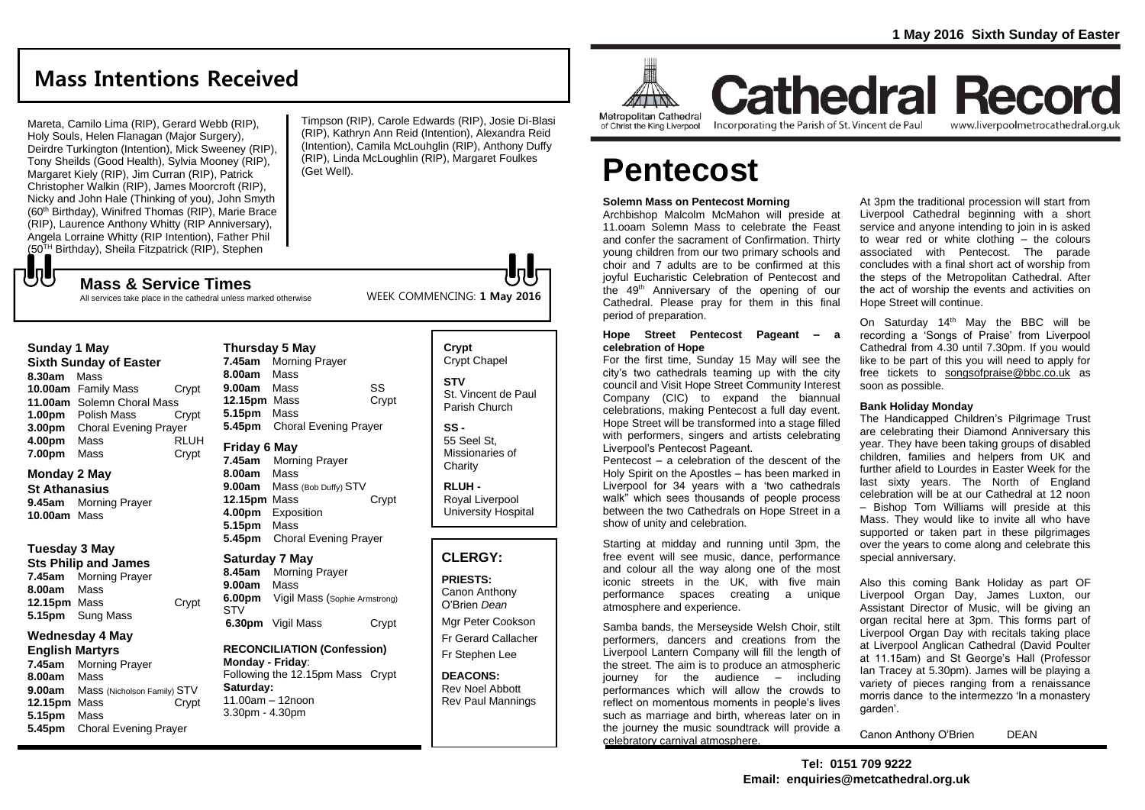## **Mass Intentions Received**

Mareta, Camilo Lima (RIP), Gerard Webb (RIP), Holy Souls, Helen Flanagan (Major Surgery), Deirdre Turkington (Intention), Mick Sweeney (RIP), Tony Sheilds (Good Health), Sylvia Mooney (RIP), Margaret Kiely (RIP), Jim Curran (RIP), Patrick Christopher Walkin (RIP), James Moorcroft (RIP), Nicky and John Hale (Thinking of you), John Smyth (60<sup>th</sup> Birthday), Winifred Thomas (RIP), Marie Brace (RIP), Laurence Anthony Whitty (RIP Anniversary), Angela Lorraine Whitty (RIP Intention), Father Phil (50TH Birthday), Sheila Fitzpatrick (RIP), Stephen

**Mass & Service Times**

All services take place in the cathedral unless marked otherwise

Timpson (RIP), Carole Edwards (RIP), Josie Di-Blasi (RIP), Kathryn Ann Reid (Intention), Alexandra Reid (Intention), Camila McLouhglin (RIP), Anthony Duffy (RIP), Linda McLoughlin (RIP), Margaret Foulkes (Get Well).



of Christ the King Liverpool

Incorporating the Parish of St. Vincent de Paul

**Cathedral Record** 

www.liverpoolmetrocathedral.org.uk

# **Pentecost**

#### **Solemn Mass on Pentecost Morning**

Archbishop Malcolm McMahon will preside at 11.ooam Solemn Mass to celebrate the Feast and confer the sacrament of Confirmation. Thirty young children from our two primary schools and choir and 7 adults are to be confirmed at this joyful Eucharistic Celebration of Pentecost and the 49th Anniversary of the opening of our Cathedral. Please pray for them in this final period of preparation.

#### **Hope Street Pentecost Pageant – a celebration of Hope**

For the first time, Sunday 15 May will see the city's two cathedrals teaming up with the city council and Visit Hope Street Community Interest Company (CIC) to expand the biannual celebrations, making Pentecost a full day event. Hope Street will be transformed into a stage filled with performers, singers and artists celebrating Liverpool's Pentecost Pageant.

Pentecost – a celebration of the descent of the Holy Spirit on the Apostles – has been marked in Liverpool for 34 years with a 'two cathedrals walk" which sees thousands of people process between the two Cathedrals on Hope Street in a show of unity and celebration.

Starting at midday and running until 3pm, the free event will see music, dance, performance and colour all the way along one of the most iconic streets in the UK, with five main performance spaces creating a unique atmosphere and experience.

Samba bands, the Merseyside Welsh Choir, stilt performers, dancers and creations from the Liverpool Lantern Company will fill the length of the street. The aim is to produce an atmospheric journey for the audience – including performances which will allow the crowds to reflect on momentous moments in people's lives such as marriage and birth, whereas later on in the journey the music soundtrack will provide a celebratory carnival atmosphere.

At 3pm the traditional procession will start from Liverpool Cathedral beginning with a short service and anyone intending to join in is asked to wear red or white clothing – the colours associated with Pentecost. The parade concludes with a final short act of worship from the steps of the Metropolitan Cathedral. After the act of worship the events and activities on Hope Street will continue.

On Saturday 14<sup>th</sup> May the BBC will be recording a 'Songs of Praise' from Liverpool Cathedral from 4.30 until 7.30pm. If you would like to be part of this you will need to apply for free tickets to [songsofpraise@bbc.co.uk](mailto:songsofpraise@bbc.co.uk) as soon as possible.

#### **Bank Holiday Monday**

The Handicapped Children's Pilgrimage Trust are celebrating their Diamond Anniversary this year. They have been taking groups of disabled children, families and helpers from UK and further afield to Lourdes in Easter Week for the last sixty years. The North of England celebration will be at our Cathedral at 12 noon – Bishop Tom Williams will preside at this Mass. They would like to invite all who have supported or taken part in these pilgrimages over the years to come along and celebrate this special anniversary.

Also this coming Bank Holiday as part OF Liverpool Organ Day, James Luxton, our Assistant Director of Music, will be giving an organ recital here at 3pm. This forms part of Liverpool Organ Day with recitals taking place at Liverpool Anglican Cathedral (David Poulter at 11.15am) and St George's Hall (Professor Ian Tracey at 5.30pm). James will be playing a variety of pieces ranging from a renaissance morris dance to the intermezzo 'In a monastery garden'.

Canon Anthony O'Brien DEAN

**Sunday 1 May Sixth Sunday of Easter 8.30am** Mass **10.00am** Family Mass Crypt **11.00am** Solemn Choral Mass **1.00pm** Polish Mass Crypt **3.00pm** Choral Evening Prayer **4.00pm** Mass RLUH **7.00pm** Mass Crypt

## **Monday 2 May**

もし

**St Athanasius 9.45am** Morning Prayer **10.00am** Mass

## **Tuesday 3 May**

**Sts Philip and James 7.45am** Morning Prayer **8.00am** Mass **12.15pm** Mass Crypt **5.15pm** Sung Mass

## **Wednesday 4 May**

**English Martyrs 7.45am** Morning Prayer **8.00am** Mass **9.00am** Mass (Nicholson Family) STV **12.15pm** Mass **Crypt 5.15pm** Mass **5.45pm** Choral Evening Prayer

### **7.45am** Morning Prayer **8.00am** Mass **9.00am** Mass SS **12.15pm** Mass Crypt **5.15pm** Mass **5.45pm** Choral Evening Prayer **Friday 6 May 7.45am** Morning Prayer **8.00am** Mass **9.00am** Mass (Bob Duffy) STV **12.15pm** Mass Crypt **4.00pm** Exposition **5.15pm** Mass **5.45pm** Choral Evening Prayer

## **Saturday 7 May**

**Thursday 5 May**

**8.45am** Morning Prayer **9.00am** Mass **6.00pm** Vigil Mass (Sophie Armstrong) **STV 6.30pm** Vigil Mass Crypt

**RECONCILIATION (Confession) Monday - Friday**: Following the 12.15pm Mass Crypt **Saturday:**

11.00am – 12noon 3.30pm - 4.30pm

**Crypt**  Crypt Chapel **STV** St. Vincent de Paul Parish Church

## **SS -** 55 Seel St,

WEEK COMMENCING: **1 May 2016**

Missionaries of **Charity** 

**RLUH -** Royal Liverpool University Hospital

## **CLERGY:**

**PRIESTS:** Canon Anthony O'Brien *Dean*

Mgr Peter Cookson Fr Gerard Callacher Fr Stephen Lee

**DEACONS:** Rev Noel Abbott Rev Paul Mannings